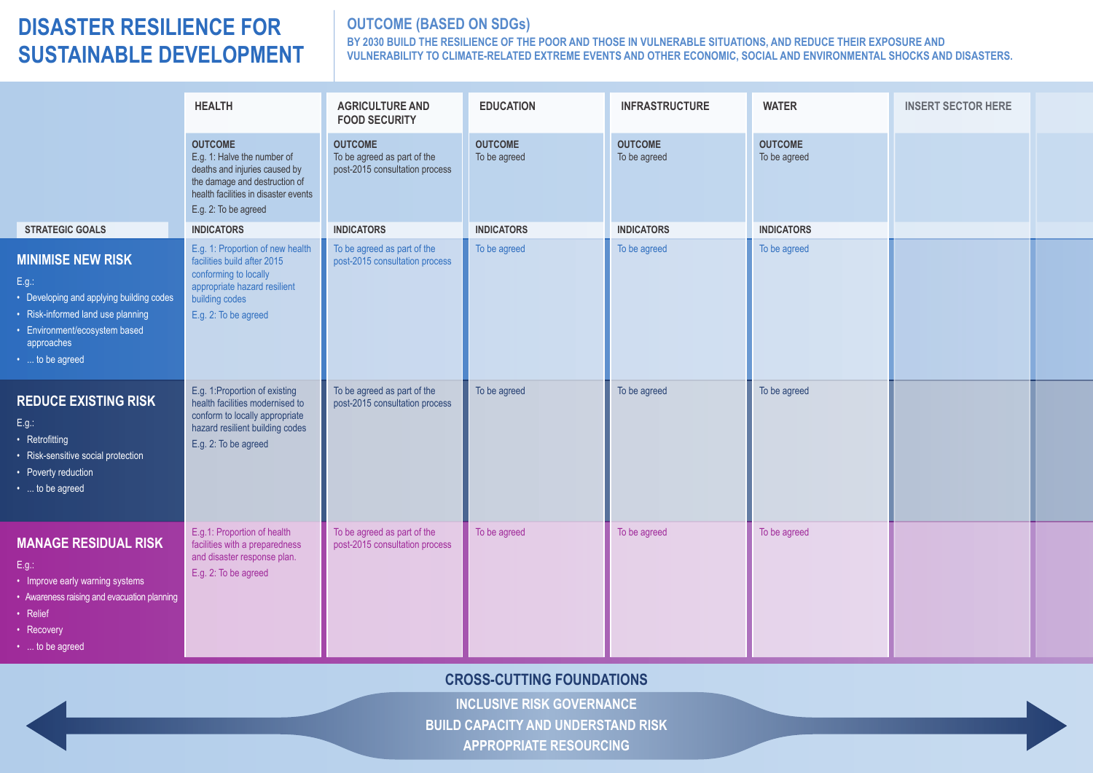# **DISASTER RESILIENCE FOR SUSTAINABLE DEVELOPMENT**

### **OUTCOME (BASED ON SDGs)**

**BY 2030 BUILD THE RESILIENCE OF THE POOR AND THOSE IN VULNERABLE SITUATIONS, AND REDUCE THEIR EXPOSURE AND VULNERABILITY TO CLIMATE-RELATED EXTREME EVENTS AND OTHER ECONOMIC, SOCIAL AND ENVIRONMENTAL SHOCKS AND DISASTERS.**

|                                                                                                                                                                                      | <b>HEALTH</b>                                                                                                                                                                   | <b>AGRICULTURE AND</b><br><b>FOOD SECURITY</b>                                  | <b>EDUCATION</b>               | <b>INFRASTRUCTURE</b>          | <b>WATER</b>                   | <b>INSERT SECTOR HERE</b> |  |
|--------------------------------------------------------------------------------------------------------------------------------------------------------------------------------------|---------------------------------------------------------------------------------------------------------------------------------------------------------------------------------|---------------------------------------------------------------------------------|--------------------------------|--------------------------------|--------------------------------|---------------------------|--|
|                                                                                                                                                                                      | <b>OUTCOME</b><br>E.g. 1: Halve the number of<br>deaths and injuries caused by<br>the damage and destruction of<br>health facilities in disaster events<br>E.g. 2: To be agreed | <b>OUTCOME</b><br>To be agreed as part of the<br>post-2015 consultation process | <b>OUTCOME</b><br>To be agreed | <b>OUTCOME</b><br>To be agreed | <b>OUTCOME</b><br>To be agreed |                           |  |
| <b>STRATEGIC GOALS</b>                                                                                                                                                               | <b>INDICATORS</b>                                                                                                                                                               | <b>INDICATORS</b>                                                               | <b>INDICATORS</b>              | <b>INDICATORS</b>              | <b>INDICATORS</b>              |                           |  |
| <b>MINIMISE NEW RISK</b><br>E.g.:<br>• Developing and applying building codes<br>• Risk-informed land use planning<br>• Environment/ecosystem based<br>approaches<br>•  to be agreed | E.g. 1: Proportion of new health<br>facilities build after 2015<br>conforming to locally<br>appropriate hazard resilient<br>building codes<br>E.g. 2: To be agreed              | To be agreed as part of the<br>post-2015 consultation process                   | To be agreed                   | To be agreed                   | To be agreed                   |                           |  |
| <b>REDUCE EXISTING RISK</b><br>E.g.:<br>• Retrofitting<br>• Risk-sensitive social protection<br>• Poverty reduction<br>•  to be agreed                                               | E.g. 1: Proportion of existing<br>health facilities modernised to<br>conform to locally appropriate<br>hazard resilient building codes<br>E.g. 2: To be agreed                  | To be agreed as part of the<br>post-2015 consultation process                   | To be agreed                   | To be agreed                   | To be agreed                   |                           |  |
| <b>MANAGE RESIDUAL RISK</b><br>E.g.:<br>• Improve early warning systems<br>• Awareness raising and evacuation planning<br>• Relief<br>• Recovery<br>•  to be agreed                  | E.g.1: Proportion of health<br>facilities with a preparedness<br>and disaster response plan.<br>E.g. 2: To be agreed                                                            | To be agreed as part of the<br>post-2015 consultation process                   | To be agreed                   | To be agreed                   | To be agreed                   |                           |  |

## **CROSS-CUTTING FOUNDATIONS**

**INCLUSIVE RISK GOVERNANCE BUILD CAPACITY AND UNDERSTAND RISK APPROPRIATE RESOURCING**